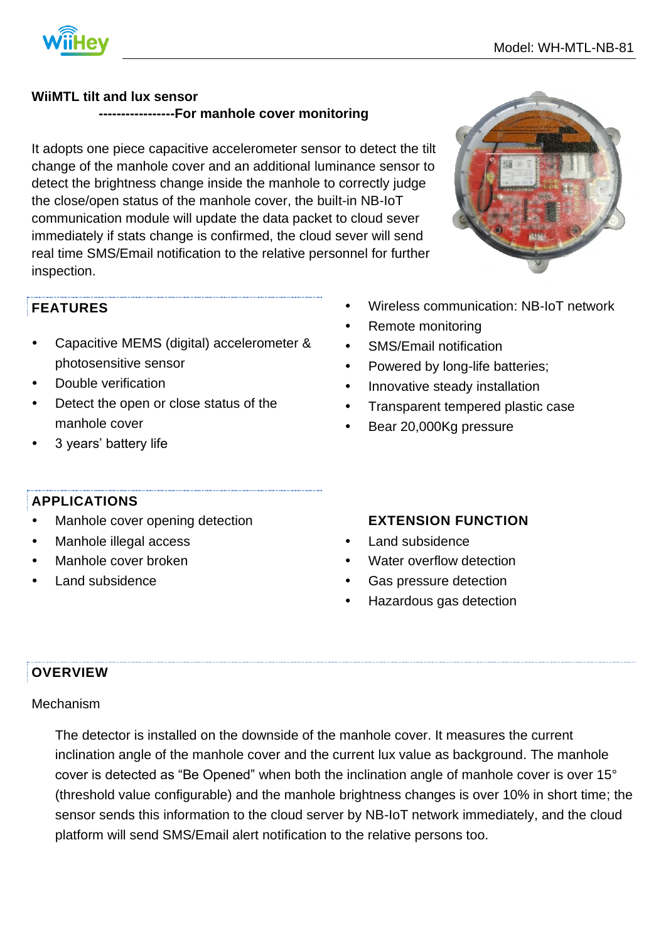

### **WiiMTL tilt and lux sensor**

 **-----------------For manhole cover monitoring**

It adopts one piece capacitive accelerometer sensor to detect the tilt change of the manhole cover and an additional luminance sensor to detect the brightness change inside the manhole to correctly judge the close/open status of the manhole cover, the built-in NB-IoT communication module will update the data packet to cloud sever immediately if stats change is confirmed, the cloud sever will send real time SMS/Email notification to the relative personnel for further inspection.



# **FEATURES**

- Capacitive MEMS (digital) accelerometer & photosensitive sensor
- Double verification
- Detect the open or close status of the manhole cover
- 3 years' battery life
- Wireless communication: NB-IoT network
- Remote monitoring
- SMS/Email notification
- Powered by long-life batteries;
- Innovative steady installation
- Transparent tempered plastic case
- Bear 20,000Kg pressure

# **APPLICATIONS**

- Manhole cover opening detection
- Manhole illegal access
- Manhole cover broken
- Land subsidence

### **EXTENSION FUNCTION**

- Land subsidence
- Water overflow detection
- Gas pressure detection
- Hazardous gas detection

# **OVERVIEW**

### Mechanism

The detector is installed on the downside of the manhole cover. It measures the current inclination angle of the manhole cover and the current lux value as background. The manhole cover is detected as "Be Opened" when both the inclination angle of manhole cover is over 15° (threshold value configurable) and the manhole brightness changes is over 10% in short time; the sensor sends this information to the cloud server by NB-IoT network immediately, and the cloud platform will send SMS/Email alert notification to the relative persons too.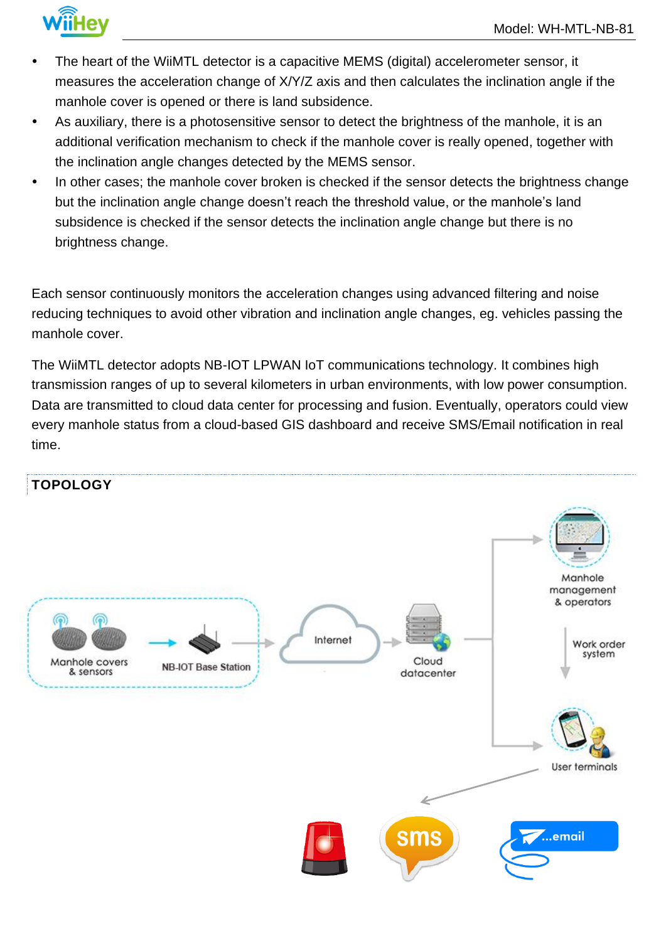

- The heart of the WiiMTL detector is a capacitive MEMS (digital) accelerometer sensor, it measures the acceleration change of X/Y/Z axis and then calculates the inclination angle if the manhole cover is opened or there is land subsidence.
- As auxiliary, there is a photosensitive sensor to detect the brightness of the manhole, it is an additional verification mechanism to check if the manhole cover is really opened, together with the inclination angle changes detected by the MEMS sensor.
- In other cases; the manhole cover broken is checked if the sensor detects the brightness change but the inclination angle change doesn't reach the threshold value, or the manhole's land subsidence is checked if the sensor detects the inclination angle change but there is no brightness change.

Each sensor continuously monitors the acceleration changes using advanced filtering and noise reducing techniques to avoid other vibration and inclination angle changes, eg. vehicles passing the manhole cover.

The WiiMTL detector adopts NB-IOT LPWAN IoT communications technology. It combines high transmission ranges of up to several kilometers in urban environments, with low power consumption. Data are transmitted to cloud data center for processing and fusion. Eventually, operators could view every manhole status from a cloud-based GIS dashboard and receive SMS/Email notification in real time.